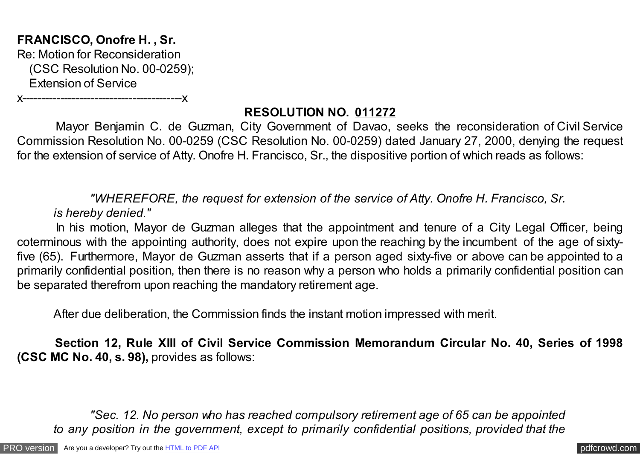**FRANCISCO, Onofre H. , Sr.** Re: Motion for Reconsideration (CSC Resolution No. 00-0259); Extension of Service

x------------------------------------------x

## **RESOLUTION NO. 011272**

 Mayor Benjamin C. de Guzman, City Government of Davao, seeks the reconsideration of Civil Service Commission Resolution No. 00-0259 (CSC Resolution No. 00-0259) dated January 27, 2000, denying the request for the extension of service of Atty. Onofre H. Francisco, Sr., the dispositive portion of which reads as follows:

 *"WHEREFORE, the request for extension of the service of Atty. Onofre H. Francisco, Sr. is hereby denied."*

In his motion, Mayor de Guzman alleges that the appointment and tenure of a City Legal Officer, being coterminous with the appointing authority, does not expire upon the reaching by the incumbent of the age of sixtyfive (65). Furthermore, Mayor de Guzman asserts that if a person aged sixty-five or above can be appointed to a primarily confidential position, then there is no reason why a person who holds a primarily confidential position can be separated therefrom upon reaching the mandatory retirement age.

After due deliberation, the Commission finds the instant motion impressed with merit.

 **Section 12, Rule XIII of Civil Service Commission Memorandum Circular No. 40, Series of 1998 (CSC MC No. 40, s. 98),** provides as follows:

 *"Sec. 12. No person who has reached compulsory retirement age of 65 can be appointed to any position in the government, except to primarily confidential positions, provided that the*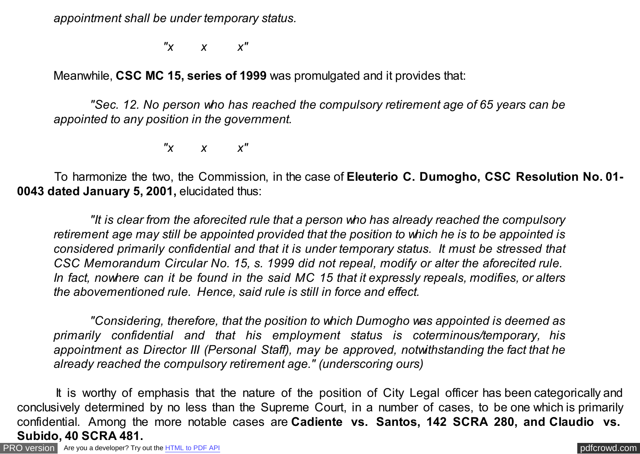*appointment shall be under temporary status.*

 *"x x x"*

Meanwhile, **CSC MC 15, series of 1999** was promulgated and it provides that:

 *"Sec. 12. No person who has reached the compulsory retirement age of 65 years can be appointed to any position in the government.*

 *"x x x"*

 To harmonize the two, the Commission, in the case of **Eleuterio C. Dumogho, CSC Resolution No. 01- 0043 dated January 5, 2001,** elucidated thus:

 *"It is clear from the aforecited rule that a person who has already reached the compulsory retirement age may still be appointed provided that the position to which he is to be appointed is considered primarily confidential and that it is under temporary status. It must be stressed that CSC Memorandum Circular No. 15, s. 1999 did not repeal, modify or alter the aforecited rule. In fact, nowhere can it be found in the said MC 15 that it expressly repeals, modifies, or alters the abovementioned rule. Hence, said rule is still in force and effect.*

 *"Considering, therefore, that the position to which Dumogho was appointed is deemed as primarily confidential and that his employment status is coterminous/temporary, his appointment as Director III (Personal Staff), may be approved, notwithstanding the fact that he already reached the compulsory retirement age." (underscoring ours)*

 It is worthy of emphasis that the nature of the position of City Legal officer has been categorically and conclusively determined by no less than the Supreme Court, in a number of cases, to be one which is primarily confidential. Among the more notable cases are **Cadiente vs. Santos, 142 SCRA 280, and Claudio vs. Subido, 40 SCRA 481.**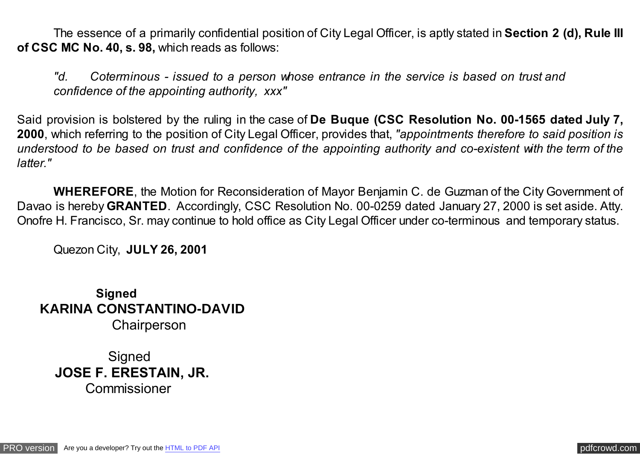The essence of a primarily confidential position of City Legal Officer, is aptly stated in **Section 2 (d), Rule III of CSC MC No. 40, s. 98,** which reads as follows:

*"d. Coterminous - issued to a person whose entrance in the service is based on trust and confidence of the appointing authority, xxx"*

Said provision is bolstered by the ruling in the case of **De Buque (CSC Resolution No. 00-1565 dated July 7, 2000**, which referring to the position of City Legal Officer, provides that, *"appointments therefore to said position is understood to be based on trust and confidence of the appointing authority and co-existent with the term of the latter."* 

 **WHEREFORE**, the Motion for Reconsideration of Mayor Benjamin C. de Guzman of the City Government of Davao is hereby **GRANTED**. Accordingly, CSC Resolution No. 00-0259 dated January 27, 2000 is set aside. Atty. Onofre H. Francisco, Sr. may continue to hold office as City Legal Officer under co-terminous and temporary status.

Quezon City, **JULY 26, 2001**

 **Signed KARINA CONSTANTINO-DAVID** Chairperson

**Signed JOSE F. ERESTAIN, JR.** Commissioner